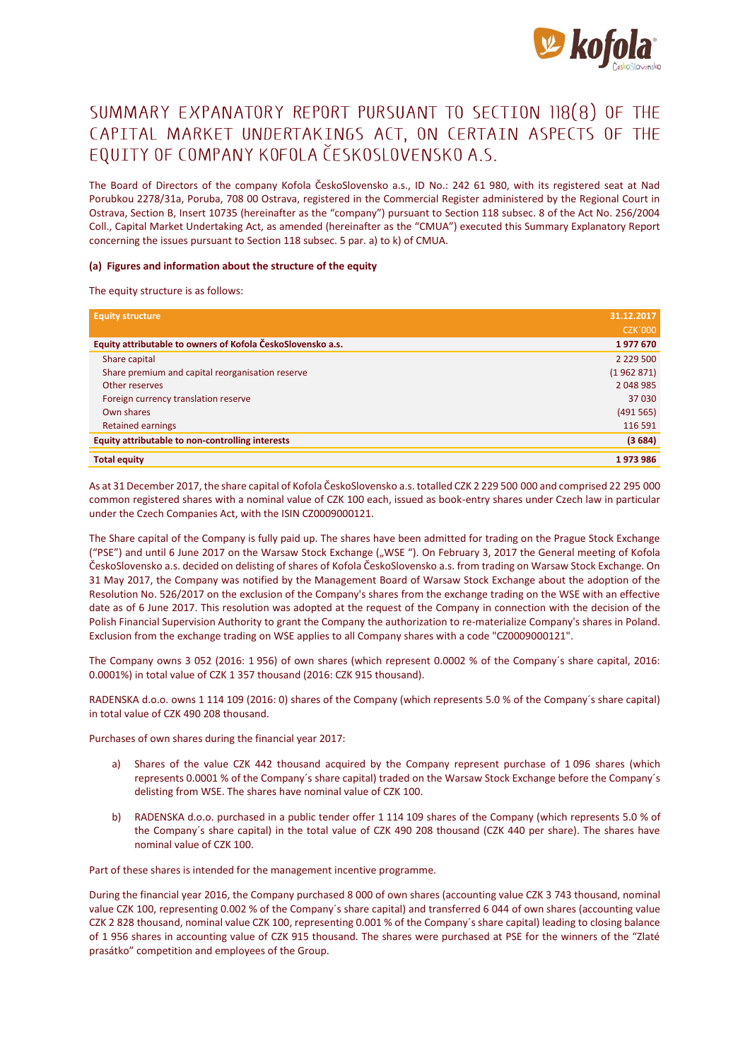

# SUMMARY EXPANATORY REPORT PURSUANT TO SECTION 118(8) OF THE CAPITAL MARKET UNDERTAKINGS ACT, ON CERTAIN ASPECTS OF THE EQUITY OF COMPANY KOFOLA ČESKOSLOVENSKO A.S.

The Board of Directors of the company Kofola ČeskoSlovensko a.s., ID No.: 242 61 980, with its registered seat at Nad Porubkou 2278/31a, Poruba, 708 00 Ostrava, registered in the Commercial Register administered by the Regional Court in Ostrava, Section B, Insert 10735 (hereinafter as the "company") pursuant to Section 118 subsec. 8 of the Act No. 256/2004 Coll., Capital Market Undertaking Act, as amended (hereinafter as the "CMUA") executed this Summary Explanatory Report concerning the issues pursuant to Section 118 subsec. 5 par. a) to k) of CMUA.

#### **(a) Figures and information about the structure of the equity**

The equity structure is as follows:

| <b>Equity structure</b>                                     | 31.12.2017     |
|-------------------------------------------------------------|----------------|
|                                                             | <b>CZK'000</b> |
| Equity attributable to owners of Kofola ČeskoSlovensko a.s. | 1977670        |
| Share capital                                               | 2 2 2 9 5 0 0  |
| Share premium and capital reorganisation reserve            | (1962871)      |
| Other reserves                                              | 2 048 985      |
| Foreign currency translation reserve                        | 37 030         |
| Own shares                                                  | (491565)       |
| Retained earnings                                           | 116 591        |
| Equity attributable to non-controlling interests            | (3684)         |
| <b>Total equity</b>                                         | 1973986        |

As at 31 December 2017, the share capital of Kofola ČeskoSlovensko a.s. totalled CZK 2 229 500 000 and comprised 22 295 000 common registered shares with a nominal value of CZK 100 each, issued as book-entry shares under Czech law in particular under the Czech Companies Act, with the ISIN CZ0009000121.

The Share capital of the Company is fully paid up. The shares have been admitted for trading on the Prague Stock Exchange ("PSE") and until 6 June 2017 on the Warsaw Stock Exchange ("WSE"). On February 3, 2017 the General meeting of Kofola ČeskoSlovensko a.s. decided on delisting of shares of Kofola ČeskoSlovensko a.s. from trading on Warsaw Stock Exchange. On 31 May 2017, the Company was notified by the Management Board of Warsaw Stock Exchange about the adoption of the Resolution No. 526/2017 on the exclusion of the Company's shares from the exchange trading on the WSE with an effective date as of 6 June 2017. This resolution was adopted at the request of the Company in connection with the decision of the Polish Financial Supervision Authority to grant the Company the authorization to re-materialize Company's shares in Poland. Exclusion from the exchange trading on WSE applies to all Company shares with a code "CZ0009000121".

The Company owns 3 052 (2016: 1 956) of own shares (which represent 0.0002 % of the Company´s share capital, 2016: 0.0001%) in total value of CZK 1 357 thousand (2016: CZK 915 thousand).

RADENSKA d.o.o. owns 1 114 109 (2016: 0) shares of the Company (which represents 5.0 % of the Company´s share capital) in total value of CZK 490 208 thousand.

Purchases of own shares during the financial year 2017:

- a) Shares of the value CZK 442 thousand acquired by the Company represent purchase of 1 096 shares (which represents 0.0001 % of the Company´s share capital) traded on the Warsaw Stock Exchange before the Company´s delisting from WSE. The shares have nominal value of CZK 100.
- b) RADENSKA d.o.o. purchased in a public tender offer 1 114 109 shares of the Company (which represents 5.0 % of the Company´s share capital) in the total value of CZK 490 208 thousand (CZK 440 per share). The shares have nominal value of CZK 100.

Part of these shares is intended for the management incentive programme.

During the financial year 2016, the Company purchased 8 000 of own shares (accounting value CZK 3 743 thousand, nominal value CZK 100, representing 0.002 % of the Company´s share capital) and transferred 6 044 of own shares (accounting value CZK 2 828 thousand, nominal value CZK 100, representing 0.001 % of the Company´s share capital) leading to closing balance of 1 956 shares in accounting value of CZK 915 thousand. The shares were purchased at PSE for the winners of the "Zlaté prasátko" competition and employees of the Group.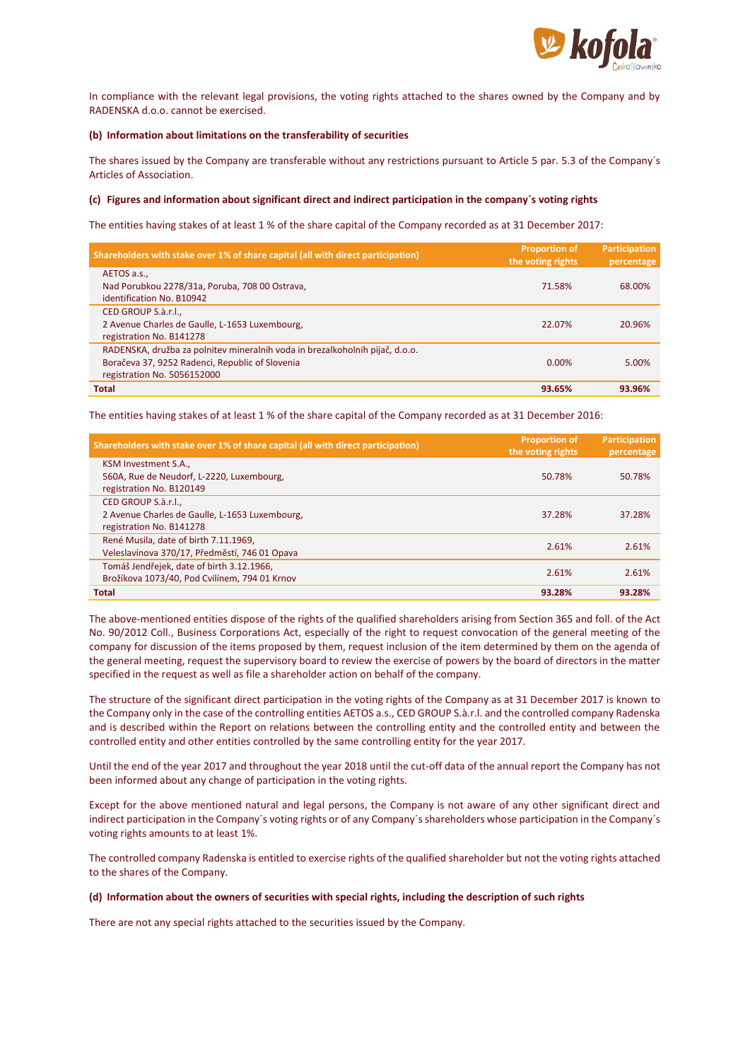

In compliance with the relevant legal provisions, the voting rights attached to the shares owned by the Company and by RADENSKA d.o.o. cannot be exercised.

#### **(b) Information about limitations on the transferability of securities**

The shares issued by the Company are transferable without any restrictions pursuant to Article 5 par. 5.3 of the Company´s Articles of Association.

### **(c) Figures and information about significant direct and indirect participation in the company´s voting rights**

The entities having stakes of at least 1 % of the share capital of the Company recorded as at 31 December 2017:

| Shareholders with stake over 1% of share capital (all with direct participation)                                                                               | <b>Proportion of</b><br>the voting rights | <b>Participation</b><br>percentage |
|----------------------------------------------------------------------------------------------------------------------------------------------------------------|-------------------------------------------|------------------------------------|
| AETOS a.s.,<br>Nad Porubkou 2278/31a, Poruba, 708 00 Ostrava,<br>identification No. B10942                                                                     | 71.58%                                    | 68.00%                             |
| CED GROUP S.à.r.l.,<br>2 Avenue Charles de Gaulle, L-1653 Luxembourg,<br>registration No. B141278                                                              | 22.07%                                    | 20.96%                             |
| RADENSKA, družba za polnitev mineralnih voda in brezalkoholnih pijač, d.o.o.<br>Boračeva 37, 9252 Radenci, Republic of Slovenia<br>registration No. 5056152000 | $0.00\%$                                  | 5.00%                              |
| <b>Total</b>                                                                                                                                                   | 93.65%                                    | 93.96%                             |

The entities having stakes of at least 1 % of the share capital of the Company recorded as at 31 December 2016:

| Shareholders with stake over 1% of share capital (all with direct participation)                  | <b>Proportion of</b><br>the voting rights | <b>Participation</b><br>percentage |
|---------------------------------------------------------------------------------------------------|-------------------------------------------|------------------------------------|
| KSM Investment S.A.,<br>560A, Rue de Neudorf, L-2220, Luxembourg,<br>registration No. B120149     | 50.78%                                    | 50.78%                             |
| CED GROUP S.à.r.l.,<br>2 Avenue Charles de Gaulle, L-1653 Luxembourg,<br>registration No. B141278 | 37.28%                                    | 37.28%                             |
| René Musila, date of birth 7.11.1969,<br>Veleslavínova 370/17, Předměstí, 746 01 Opava            | 2.61%                                     | 2.61%                              |
| Tomáš Jendřejek, date of birth 3.12.1966,<br>Brožíkova 1073/40, Pod Cvilínem, 794 01 Krnov        | 2.61%                                     | 2.61%                              |
| <b>Total</b>                                                                                      | 93.28%                                    | 93.28%                             |

The above-mentioned entities dispose of the rights of the qualified shareholders arising from Section 365 and foll. of the Act No. 90/2012 Coll., Business Corporations Act, especially of the right to request convocation of the general meeting of the company for discussion of the items proposed by them, request inclusion of the item determined by them on the agenda of the general meeting, request the supervisory board to review the exercise of powers by the board of directors in the matter specified in the request as well as file a shareholder action on behalf of the company.

The structure of the significant direct participation in the voting rights of the Company as at 31 December 2017 is known to the Company only in the case of the controlling entities AETOS a.s., CED GROUP S.à.r.l. and the controlled company Radenska and is described within the Report on relations between the controlling entity and the controlled entity and between the controlled entity and other entities controlled by the same controlling entity for the year 2017.

Until the end of the year 2017 and throughout the year 2018 until the cut-off data of the annual report the Company has not been informed about any change of participation in the voting rights.

Except for the above mentioned natural and legal persons, the Company is not aware of any other significant direct and indirect participation in the Company´s voting rights or of any Company´s shareholders whose participation in the Company´s voting rights amounts to at least 1%.

The controlled company Radenska is entitled to exercise rights of the qualified shareholder but not the voting rights attached to the shares of the Company.

#### **(d) Information about the owners of securities with special rights, including the description of such rights**

There are not any special rights attached to the securities issued by the Company.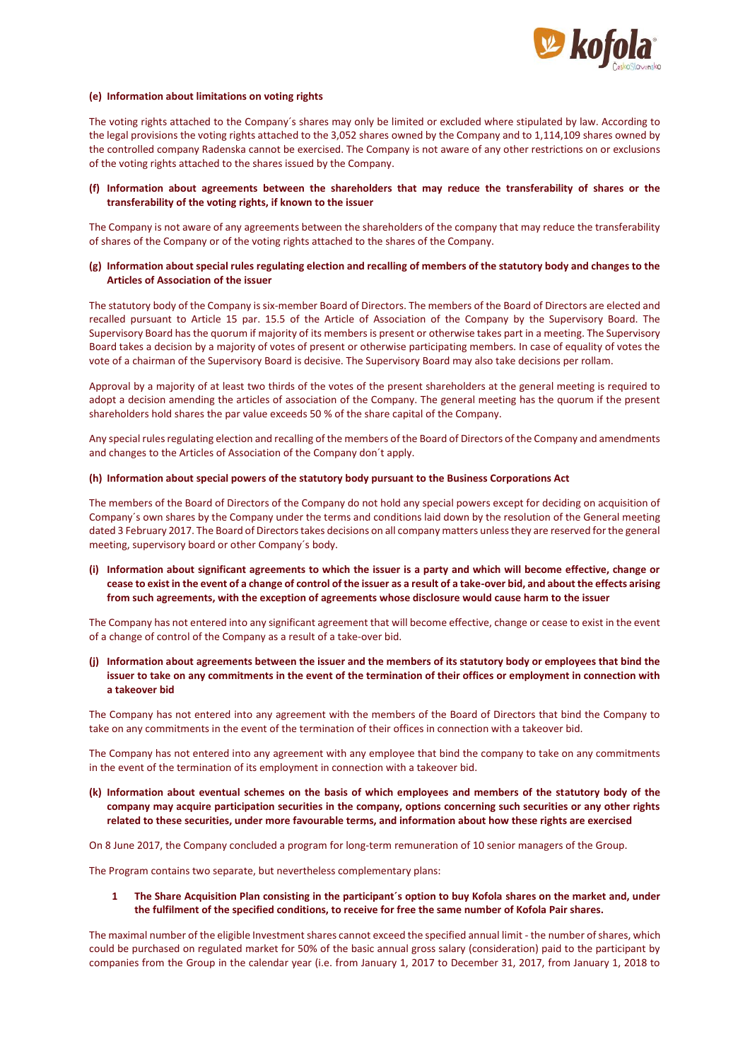

#### **(e) Information about limitations on voting rights**

The voting rights attached to the Company´s shares may only be limited or excluded where stipulated by law. According to the legal provisions the voting rights attached to the 3,052 shares owned by the Company and to 1,114,109 shares owned by the controlled company Radenska cannot be exercised. The Company is not aware of any other restrictions on or exclusions of the voting rights attached to the shares issued by the Company.

#### **(f) Information about agreements between the shareholders that may reduce the transferability of shares or the transferability of the voting rights, if known to the issuer**

The Company is not aware of any agreements between the shareholders of the company that may reduce the transferability of shares of the Company or of the voting rights attached to the shares of the Company.

# **(g) Information about special rules regulating election and recalling of members of the statutory body and changes to the Articles of Association of the issuer**

The statutory body of the Company is six-member Board of Directors. The members of the Board of Directors are elected and recalled pursuant to Article 15 par. 15.5 of the Article of Association of the Company by the Supervisory Board. The Supervisory Board has the quorum if majority of its members is present or otherwise takes part in a meeting. The Supervisory Board takes a decision by a majority of votes of present or otherwise participating members. In case of equality of votes the vote of a chairman of the Supervisory Board is decisive. The Supervisory Board may also take decisions per rollam.

Approval by a majority of at least two thirds of the votes of the present shareholders at the general meeting is required to adopt a decision amending the articles of association of the Company. The general meeting has the quorum if the present shareholders hold shares the par value exceeds 50 % of the share capital of the Company.

Any special rules regulating election and recalling of the members of the Board of Directors of the Company and amendments and changes to the Articles of Association of the Company don´t apply.

#### **(h) Information about special powers of the statutory body pursuant to the Business Corporations Act**

The members of the Board of Directors of the Company do not hold any special powers except for deciding on acquisition of Company´s own shares by the Company under the terms and conditions laid down by the resolution of the General meeting dated 3 February 2017. The Board of Directors takes decisions on all company matters unless they are reserved for the general meeting, supervisory board or other Company´s body.

# **(i) Information about significant agreements to which the issuer is a party and which will become effective, change or cease to exist in the event of a change of control of the issuer as a result of a take-over bid, and about the effects arising from such agreements, with the exception of agreements whose disclosure would cause harm to the issuer**

The Company has not entered into any significant agreement that will become effective, change or cease to exist in the event of a change of control of the Company as a result of a take-over bid.

**(j) Information about agreements between the issuer and the members of its statutory body or employees that bind the issuer to take on any commitments in the event of the termination of their offices or employment in connection with a takeover bid**

The Company has not entered into any agreement with the members of the Board of Directors that bind the Company to take on any commitments in the event of the termination of their offices in connection with a takeover bid.

The Company has not entered into any agreement with any employee that bind the company to take on any commitments in the event of the termination of its employment in connection with a takeover bid.

**(k) Information about eventual schemes on the basis of which employees and members of the statutory body of the company may acquire participation securities in the company, options concerning such securities or any other rights related to these securities, under more favourable terms, and information about how these rights are exercised**

On 8 June 2017, the Company concluded a program for long-term remuneration of 10 senior managers of the Group.

The Program contains two separate, but nevertheless complementary plans:

#### **1 The Share Acquisition Plan consisting in the participant´s option to buy Kofola shares on the market and, under the fulfilment of the specified conditions, to receive for free the same number of Kofola Pair shares.**

The maximal number of the eligible Investment shares cannot exceed the specified annual limit - the number of shares, which could be purchased on regulated market for 50% of the basic annual gross salary (consideration) paid to the participant by companies from the Group in the calendar year (i.e. from January 1, 2017 to December 31, 2017, from January 1, 2018 to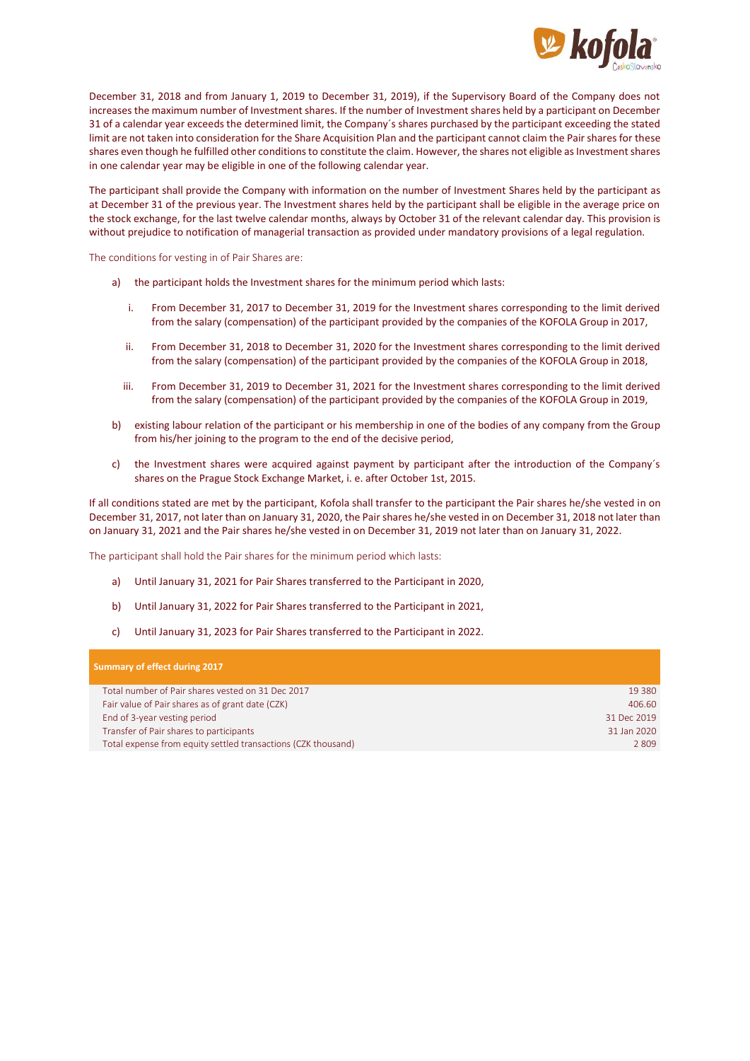

December 31, 2018 and from January 1, 2019 to December 31, 2019), if the Supervisory Board of the Company does not increases the maximum number of Investment shares. If the number of Investment shares held by a participant on December 31 of a calendar year exceeds the determined limit, the Company´s shares purchased by the participant exceeding the stated limit are not taken into consideration for the Share Acquisition Plan and the participant cannot claim the Pair shares for these shares even though he fulfilled other conditions to constitute the claim. However, the shares not eligible as Investment shares in one calendar year may be eligible in one of the following calendar year.

The participant shall provide the Company with information on the number of Investment Shares held by the participant as at December 31 of the previous year. The Investment shares held by the participant shall be eligible in the average price on the stock exchange, for the last twelve calendar months, always by October 31 of the relevant calendar day. This provision is without prejudice to notification of managerial transaction as provided under mandatory provisions of a legal regulation.

The conditions for vesting in of Pair Shares are:

- a) the participant holds the Investment shares for the minimum period which lasts:
	- i. From December 31, 2017 to December 31, 2019 for the Investment shares corresponding to the limit derived from the salary (compensation) of the participant provided by the companies of the KOFOLA Group in 2017,
	- ii. From December 31, 2018 to December 31, 2020 for the Investment shares corresponding to the limit derived from the salary (compensation) of the participant provided by the companies of the KOFOLA Group in 2018,
	- iii. From December 31, 2019 to December 31, 2021 for the Investment shares corresponding to the limit derived from the salary (compensation) of the participant provided by the companies of the KOFOLA Group in 2019,
- b) existing labour relation of the participant or his membership in one of the bodies of any company from the Group from his/her joining to the program to the end of the decisive period,
- c) the Investment shares were acquired against payment by participant after the introduction of the Company´s shares on the Prague Stock Exchange Market, i. e. after October 1st, 2015.

If all conditions stated are met by the participant, Kofola shall transfer to the participant the Pair shares he/she vested in on December 31, 2017, not later than on January 31, 2020, the Pair shares he/she vested in on December 31, 2018 not later than on January 31, 2021 and the Pair shares he/she vested in on December 31, 2019 not later than on January 31, 2022.

The participant shall hold the Pair shares for the minimum period which lasts:

- a) Until January 31, 2021 for Pair Shares transferred to the Participant in 2020,
- b) Until January 31, 2022 for Pair Shares transferred to the Participant in 2021,
- c) Until January 31, 2023 for Pair Shares transferred to the Participant in 2022.

| Summary of effect during 2017                                 |             |
|---------------------------------------------------------------|-------------|
| Total number of Pair shares vested on 31 Dec 2017             | 19 3 8 0    |
| Fair value of Pair shares as of grant date (CZK)              | 406.60      |
| End of 3-year vesting period                                  | 31 Dec 2019 |
| Transfer of Pair shares to participants                       | 31 Jan 2020 |
| Total expense from equity settled transactions (CZK thousand) | 2809        |